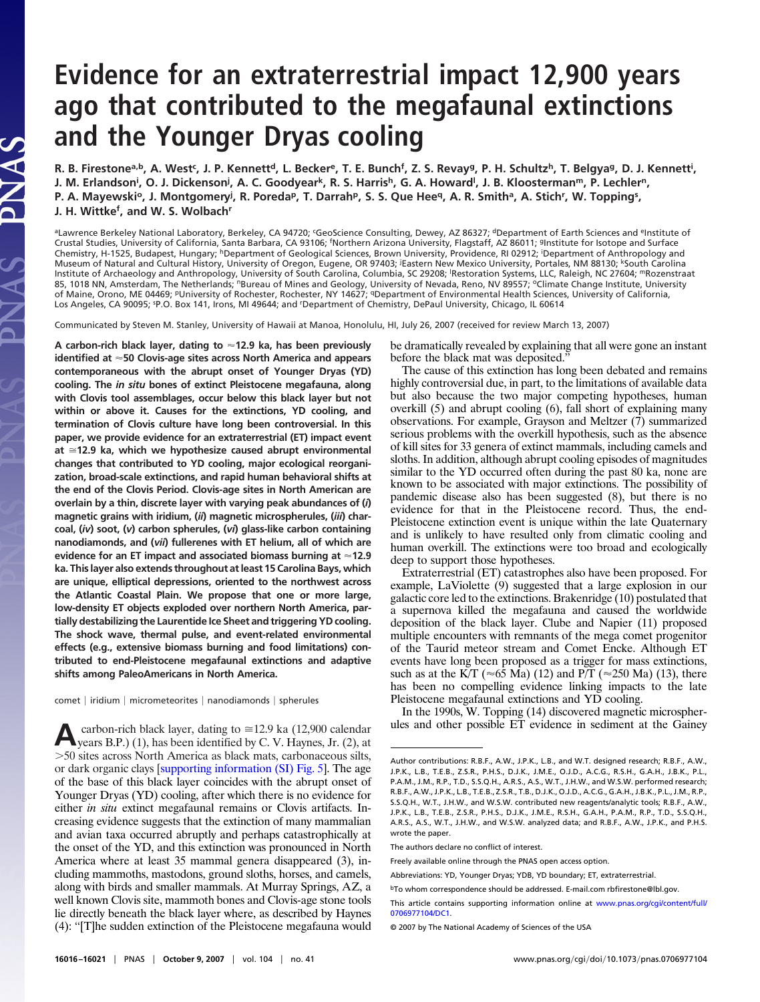# **Evidence for an extraterrestrial impact 12,900 years ago that contributed to the megafaunal extinctions and the Younger Dryas cooling**

R. B. Firestone<sup>a,b</sup>, A. West<sup>c</sup>, J. P. Kennett<sup>d</sup>, L. Becker<sup>e</sup>, T. E. Bunch<sup>f</sup>, Z. S. Revay<sup>g</sup>, P. H. Schultz<sup>h</sup>, T. Belgya<sup>g</sup>, D. J. Kennett<sup>i</sup>, **J. M. Erlandson<sup>i</sup>, O. J. Dickenson<sup>j</sup>, A. C. Goodyear<sup>k</sup>, R. S. Harris<sup>h</sup>, G. A. Howard<sup>i</sup>, J. B. Kloosterman<sup>m</sup>, P. Lechler<sup>n</sup>,** P. A. Mayewski°, J. Montgomery<sup>j</sup>, R. Poreda<sup>p</sup>, T. Darrah<sup>p</sup>, S. S. Que Hee<sup>q</sup>, A. R. Smith<sup>a</sup>, A. Stich<sup>r</sup>, W. Topping<sup>s</sup>, **J. H. Wittkef , and W. S. Wolbachr**

aLawrence Berkeley National Laboratory, Berkeley, CA 94720; 'GeoScience Consulting, Dewey, AZ 86327; <sup>d</sup>Department of Earth Sciences and <sup>e</sup>Institute of Crustal Studies, University of California, Santa Barbara, CA 93106; <sup>f</sup>Northern Arizona University, Flagstaff, AZ 86011; <sup>g</sup>Institute for Isotope and Surface Chemistry, H-1525, Budapest, Hungary; <sup>h</sup>Department of Geological Sciences, Brown University, Providence, RI 02912; <sup>i</sup>Department of Anthropology and Museum of Natural and Cultural History, University of Oregon, Eugene, OR 97403; <sup>j</sup>Eastern New Mexico University, Portales, NM 88130; <sup>k</sup>South Carolina Institute of Archaeology and Anthropology, University of South Carolina, Columbia, SC 29208; <sup>l</sup> Restoration Systems, LLC, Raleigh, NC 27604; mRozenstraat 85, 1018 NN, Amsterdam, The Netherlands; <sup>n</sup>Bureau of Mines and Geology, University of Nevada, Reno, NV 89557; <sup>o</sup>Climate Change Institute, University of Maine, Orono, ME 04469; <sup>p</sup>University of Rochester, Rochester, NY 14627; <sup>q</sup>Department of Environmental Health Sciences, University of California, Los Angeles, CA 90095; <sup>sp</sup>.O. Box 141, Irons, MI 49644; and <sup>r</sup>Department of Chemistry, DePaul University, Chicago, IL 60614

Communicated by Steven M. Stanley, University of Hawaii at Manoa, Honolulu, HI, July 26, 2007 (received for review March 13, 2007)

**A carbon-rich black layer, dating to 12.9 ka, has been previously identified at 50 Clovis-age sites across North America and appears contemporaneous with the abrupt onset of Younger Dryas (YD) cooling. The** *in situ* **bones of extinct Pleistocene megafauna, along with Clovis tool assemblages, occur below this black layer but not within or above it. Causes for the extinctions, YD cooling, and termination of Clovis culture have long been controversial. In this paper, we provide evidence for an extraterrestrial (ET) impact event at 12.9 ka, which we hypothesize caused abrupt environmental changes that contributed to YD cooling, major ecological reorganization, broad-scale extinctions, and rapid human behavioral shifts at the end of the Clovis Period. Clovis-age sites in North American are overlain by a thin, discrete layer with varying peak abundances of (***i***) magnetic grains with iridium, (***ii***) magnetic microspherules, (***iii***) charcoal, (***iv***) soot, (***v***) carbon spherules, (***vi***) glass-like carbon containing nanodiamonds, and (***vii***) fullerenes with ET helium, all of which are evidence for an ET impact and associated biomass burning at 12.9 ka. This layer also extends throughout at least 15 Carolina Bays, which are unique, elliptical depressions, oriented to the northwest across the Atlantic Coastal Plain. We propose that one or more large, low-density ET objects exploded over northern North America, partially destabilizing the Laurentide Ice Sheet and triggering YD cooling. The shock wave, thermal pulse, and event-related environmental effects (e.g., extensive biomass burning and food limitations) contributed to end-Pleistocene megafaunal extinctions and adaptive shifts among PaleoAmericans in North America.**

NAS

comet | iridium | micrometeorites | nanodiamonds | spherules

**A**carbon-rich black layer, dating to  $\cong$  12.9 ka (12,900 calendar years B.P.) (1), has been identified by C. V. Haynes, Jr. (2), at -50 sites across North America as black mats, carbonaceous silts, or dark organic clays [\[supporting information \(SI\) Fig. 5\]](http://www.pnas.org/cgi/content/full/0706977104/DC1). The age of the base of this black layer coincides with the abrupt onset of Younger Dryas (YD) cooling, after which there is no evidence for either *in situ* extinct megafaunal remains or Clovis artifacts. Increasing evidence suggests that the extinction of many mammalian and avian taxa occurred abruptly and perhaps catastrophically at the onset of the YD, and this extinction was pronounced in North America where at least 35 mammal genera disappeared (3), including mammoths, mastodons, ground sloths, horses, and camels, along with birds and smaller mammals. At Murray Springs, AZ, a well known Clovis site, mammoth bones and Clovis-age stone tools lie directly beneath the black layer where, as described by Haynes (4): ''[T]he sudden extinction of the Pleistocene megafauna would be dramatically revealed by explaining that all were gone an instant before the black mat was deposited.''

The cause of this extinction has long been debated and remains highly controversial due, in part, to the limitations of available data but also because the two major competing hypotheses, human overkill (5) and abrupt cooling (6), fall short of explaining many observations. For example, Grayson and Meltzer (7) summarized serious problems with the overkill hypothesis, such as the absence of kill sites for 33 genera of extinct mammals, including camels and sloths. In addition, although abrupt cooling episodes of magnitudes similar to the YD occurred often during the past 80 ka, none are known to be associated with major extinctions. The possibility of pandemic disease also has been suggested (8), but there is no evidence for that in the Pleistocene record. Thus, the end-Pleistocene extinction event is unique within the late Quaternary and is unlikely to have resulted only from climatic cooling and human overkill. The extinctions were too broad and ecologically deep to support those hypotheses.

Extraterrestrial (ET) catastrophes also have been proposed. For example, LaViolette (9) suggested that a large explosion in our galactic core led to the extinctions. Brakenridge (10) postulated that a supernova killed the megafauna and caused the worldwide deposition of the black layer. Clube and Napier (11) proposed multiple encounters with remnants of the mega comet progenitor of the Taurid meteor stream and Comet Encke. Although ET events have long been proposed as a trigger for mass extinctions, such as at the K/T ( $\approx$  65 Ma) (12) and P/T ( $\approx$  250 Ma) (13), there has been no compelling evidence linking impacts to the late Pleistocene megafaunal extinctions and YD cooling.

In the 1990s, W. Topping (14) discovered magnetic microspherules and other possible ET evidence in sediment at the Gainey

The authors declare no conflict of interest.

Author contributions: R.B.F., A.W., J.P.K., L.B., and W.T. designed research; R.B.F., A.W., J.P.K., L.B., T.E.B., Z.S.R., P.H.S., D.J.K., J.M.E., O.J.D., A.C.G., R.S.H., G.A.H., J.B.K., P.L., P.A.M., J.M., R.P., T.D., S.S.Q.H., A.R.S., A.S., W.T., J.H.W., and W.S.W. performed research; R.B.F., A.W., J.P.K., L.B., T.E.B., Z.S.R., T.B., D.J.K., O.J.D., A.C.G., G.A.H., J.B.K., P.L., J.M., R.P., S.S.Q.H., W.T., J.H.W., and W.S.W. contributed new reagents/analytic tools; R.B.F., A.W., J.P.K., L.B., T.E.B., Z.S.R., P.H.S., D.J.K., J.M.E., R.S.H., G.A.H., P.A.M., R.P., T.D., S.S.Q.H., A.R.S., A.S., W.T., J.H.W., and W.S.W. analyzed data; and R.B.F., A.W., J.P.K., and P.H.S. wrote the paper.

Freely available online through the PNAS open access option.

Abbreviations: YD, Younger Dryas; YDB, YD boundary; ET, extraterrestrial.

bTo whom correspondence should be addressed. E-mail.com rbfirestone@lbl.gov.

This article contains supporting information online at [www.pnas.org/cgi/content/full/](http://www.pnas.org/cgi/content/full/0706977104/DC1) [0706977104/DC1.](http://www.pnas.org/cgi/content/full/0706977104/DC1)

<sup>© 2007</sup> by The National Academy of Sciences of the USA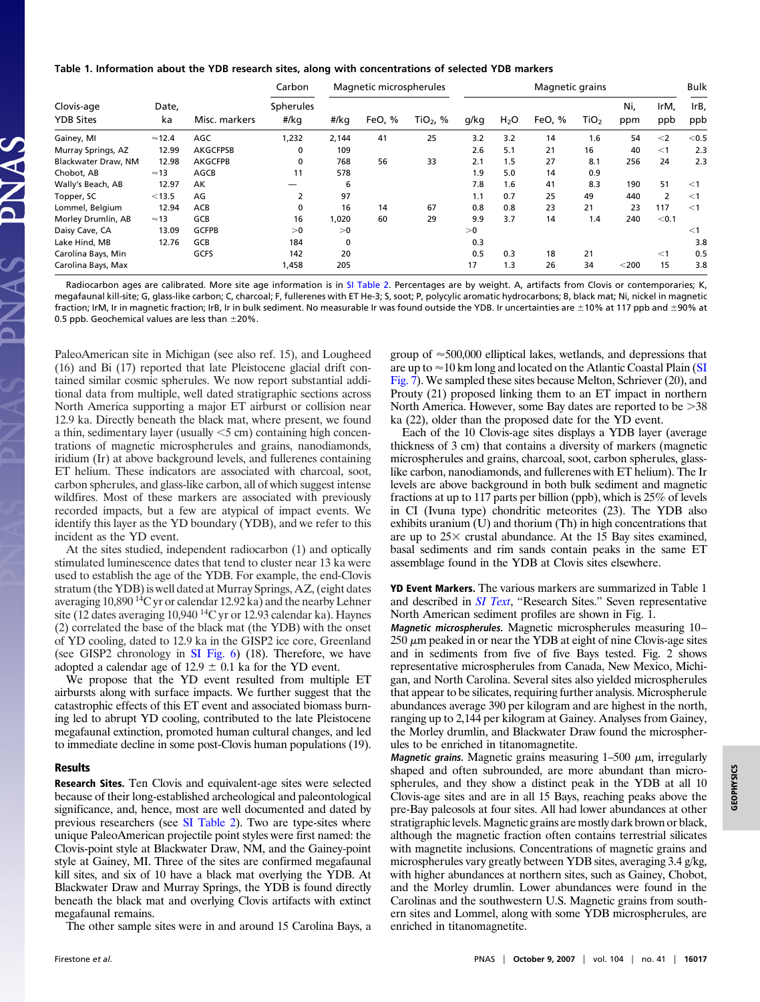## **Table 1. Information about the YDB research sites, along with concentrations of selected YDB markers**

| Clovis-age<br><b>YDB Sites</b> | Date,<br>ka    | Misc. markers   | Carbon<br>Spherules<br>#/kg | Magnetic microspherules |        |                        | Magnetic grains |                  |        |                  |            |             | <b>Bulk</b> |
|--------------------------------|----------------|-----------------|-----------------------------|-------------------------|--------|------------------------|-----------------|------------------|--------|------------------|------------|-------------|-------------|
|                                |                |                 |                             | #/kg                    | FeO, % | TiO <sub>2</sub> , $%$ | g/kg            | H <sub>2</sub> O | FeO, % | TiO <sub>2</sub> | Ni.<br>ppm | IrM,<br>ppb | IrB,<br>ppb |
| Gainey, MI                     | $\approx$ 12.4 | AGC             | 1,232                       | 2,144                   | 41     | 25                     | 3.2             | 3.2              | 14     | 1.6              | 54         | $<$ 2       | < 0.5       |
| Murray Springs, AZ             | 12.99          | <b>AKGCFPSB</b> | 0                           | 109                     |        |                        | 2.6             | 5.1              | 21     | 16               | 40         | $<$ 1       | 2.3         |
| Blackwater Draw, NM            | 12.98          | <b>AKGCFPB</b>  | 0                           | 768                     | 56     | 33                     | 2.1             | 1.5              | 27     | 8.1              | 256        | 24          | 2.3         |
| Chobot, AB                     | $\approx$ 13   | AGCB            | 11                          | 578                     |        |                        | 1.9             | 5.0              | 14     | 0.9              |            |             |             |
| Wally's Beach, AB              | 12.97          | AK              |                             | 6                       |        |                        | 7.8             | 1.6              | 41     | 8.3              | 190        | 51          | $<$ 1       |
| Topper, SC                     | < 13.5         | AG              | 2                           | 97                      |        |                        | 1.1             | 0.7              | 25     | 49               | 440        | 2           | $<$ 1       |
| Lommel, Belgium                | 12.94          | ACB             | 0                           | 16                      | 14     | 67                     | 0.8             | 0.8              | 23     | 21               | 23         | 117         | $<$ 1       |
| Morley Drumlin, AB             | $\approx$ 13   | GCB             | 16                          | 1,020                   | 60     | 29                     | 9.9             | 3.7              | 14     | 1.4              | 240        | < 0.1       |             |
| Daisy Cave, CA                 | 13.09          | <b>GCFPB</b>    | >0                          | >0                      |        |                        | >0              |                  |        |                  |            |             | $<$ 1       |
| Lake Hind, MB                  | 12.76          | GCB             | 184                         | $\mathbf{0}$            |        |                        | 0.3             |                  |        |                  |            |             | 3.8         |
| Carolina Bays, Min             |                | GCFS            | 142                         | 20                      |        |                        | 0.5             | 0.3              | 18     | 21               |            | $<$ 1       | 0.5         |
| Carolina Bays, Max             |                |                 | 1,458                       | 205                     |        |                        | 17              | 1.3              | 26     | 34               | $<$ 200    | 15          | 3.8         |

Radiocarbon ages are calibrated. More site age information is in [SI Table 2.](http://www.pnas.org/cgi/content/full//DC1) Percentages are by weight. A, artifacts from Clovis or contemporaries; K, megafaunal kill-site; G, glass-like carbon; C, charcoal; F, fullerenes with ET He-3; S, soot; P, polycylic aromatic hydrocarbons; B, black mat; Ni, nickel in magnetic fraction; IrM, Ir in magnetic fraction; IrB, Ir in bulk sediment. No measurable Ir was found outside the YDB. Ir uncertainties are ±10% at 117 ppb and ±90% at 0.5 ppb. Geochemical values are less than  $\pm 20\%$ .

PaleoAmerican site in Michigan (see also ref. 15), and Lougheed (16) and Bi (17) reported that late Pleistocene glacial drift contained similar cosmic spherules. We now report substantial additional data from multiple, well dated stratigraphic sections across North America supporting a major ET airburst or collision near 12.9 ka. Directly beneath the black mat, where present, we found a thin, sedimentary layer (usually  $\leq$  5 cm) containing high concentrations of magnetic microspherules and grains, nanodiamonds, iridium (Ir) at above background levels, and fullerenes containing ET helium. These indicators are associated with charcoal, soot, carbon spherules, and glass-like carbon, all of which suggest intense wildfires. Most of these markers are associated with previously recorded impacts, but a few are atypical of impact events. We identify this layer as the YD boundary (YDB), and we refer to this incident as the YD event.

At the sites studied, independent radiocarbon (1) and optically stimulated luminescence dates that tend to cluster near 13 ka were used to establish the age of the YDB. For example, the end-Clovis stratum (the YDB) is well dated at Murray Springs, AZ, (eight dates averaging 10,890 14C yr or calendar 12.92 ka) and the nearby Lehner site (12 dates averaging 10,940<sup>14</sup>C yr or 12.93 calendar ka). Haynes (2) correlated the base of the black mat (the YDB) with the onset of YD cooling, dated to 12.9 ka in the GISP2 ice core, Greenland (see GISP2 chronology in [SI Fig. 6\)](http://www.pnas.org/cgi/content/full/0706977104/DC1) (18). Therefore, we have adopted a calendar age of 12.9  $\pm$  0.1 ka for the YD event.

We propose that the YD event resulted from multiple ET airbursts along with surface impacts. We further suggest that the catastrophic effects of this ET event and associated biomass burning led to abrupt YD cooling, contributed to the late Pleistocene megafaunal extinction, promoted human cultural changes, and led to immediate decline in some post-Clovis human populations (19).

## **Results**

**Research Sites.** Ten Clovis and equivalent-age sites were selected because of their long-established archeological and paleontological significance, and, hence, most are well documented and dated by previous researchers (see [SI Table 2\)](http://www.pnas.org/cgi/content/full/0706977104/DC1). Two are type-sites where unique PaleoAmerican projectile point styles were first named: the Clovis-point style at Blackwater Draw, NM, and the Gainey-point style at Gainey, MI. Three of the sites are confirmed megafaunal kill sites, and six of 10 have a black mat overlying the YDB. At Blackwater Draw and Murray Springs, the YDB is found directly beneath the black mat and overlying Clovis artifacts with extinct megafaunal remains.

The other sample sites were in and around 15 Carolina Bays, a

group of  $\approx$  500,000 elliptical lakes, wetlands, and depressions that are up to  $\approx$  10 km long and located on the Atlantic Coastal Plain [\(SI](http://www.pnas.org/cgi/content/full/0706977104/DC1) [Fig. 7\)](http://www.pnas.org/cgi/content/full/0706977104/DC1). We sampled these sites because Melton, Schriever (20), and Prouty (21) proposed linking them to an ET impact in northern North America. However, some Bay dates are reported to be  $>38$ ka (22), older than the proposed date for the YD event.

Each of the 10 Clovis-age sites displays a YDB layer (average thickness of 3 cm) that contains a diversity of markers (magnetic microspherules and grains, charcoal, soot, carbon spherules, glasslike carbon, nanodiamonds, and fullerenes with ET helium). The Ir levels are above background in both bulk sediment and magnetic fractions at up to 117 parts per billion (ppb), which is 25% of levels in CI (Ivuna type) chondritic meteorites (23). The YDB also exhibits uranium (U) and thorium (Th) in high concentrations that are up to  $25 \times$  crustal abundance. At the 15 Bay sites examined, basal sediments and rim sands contain peaks in the same ET assemblage found in the YDB at Clovis sites elsewhere.

**YD Event Markers.** The various markers are summarized in Table 1 and described in *[SI Text](http://www.pnas.org/cgi/content/full/0706977104/DC1)*, ''Research Sites.'' Seven representative North American sediment profiles are shown in Fig. 1.

**Magnetic microspherules.** Magnetic microspherules measuring 10–  $250 \mu m$  peaked in or near the YDB at eight of nine Clovis-age sites and in sediments from five of five Bays tested. Fig. 2 shows representative microspherules from Canada, New Mexico, Michigan, and North Carolina. Several sites also yielded microspherules that appear to be silicates, requiring further analysis. Microspherule abundances average 390 per kilogram and are highest in the north, ranging up to 2,144 per kilogram at Gainey. Analyses from Gainey, the Morley drumlin, and Blackwater Draw found the microspherules to be enriched in titanomagnetite.

**Magnetic grains.** Magnetic grains measuring  $1-500 \mu m$ , irregularly shaped and often subrounded, are more abundant than microspherules, and they show a distinct peak in the YDB at all 10 Clovis-age sites and are in all 15 Bays, reaching peaks above the pre-Bay paleosols at four sites. All had lower abundances at other stratigraphic levels. Magnetic grains are mostly dark brown or black, although the magnetic fraction often contains terrestrial silicates with magnetite inclusions. Concentrations of magnetic grains and microspherules vary greatly between YDB sites, averaging 3.4 g/kg, with higher abundances at northern sites, such as Gainey, Chobot, and the Morley drumlin. Lower abundances were found in the Carolinas and the southwestern U.S. Magnetic grains from southern sites and Lommel, along with some YDB microspherules, are enriched in titanomagnetite.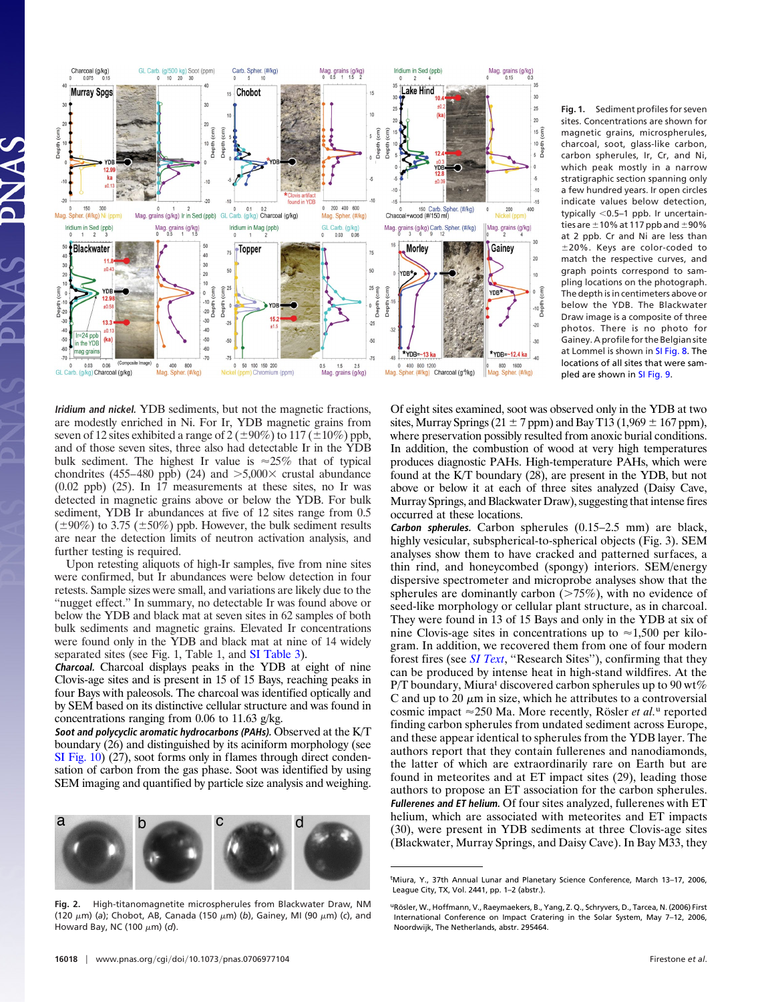

**Iridium and nickel.** YDB sediments, but not the magnetic fractions, are modestly enriched in Ni. For Ir, YDB magnetic grains from seven of 12 sites exhibited a range of  $2 (\pm 90\%)$  to  $117 (\pm 10\%)$  ppb, and of those seven sites, three also had detectable Ir in the YDB bulk sediment. The highest Ir value is  $\approx 25\%$  that of typical chondrites (455–480 ppb) (24) and  $>5,000\times$  crustal abundance (0.02 ppb) (25). In 17 measurements at these sites, no Ir was detected in magnetic grains above or below the YDB. For bulk sediment, YDB Ir abundances at five of 12 sites range from 0.5  $(\pm 90\%)$  to 3.75 ( $\pm 50\%$ ) ppb. However, the bulk sediment results are near the detection limits of neutron activation analysis, and further testing is required.

Upon retesting aliquots of high-Ir samples, five from nine sites were confirmed, but Ir abundances were below detection in four retests. Sample sizes were small, and variations are likely due to the "nugget effect." In summary, no detectable Ir was found above or below the YDB and black mat at seven sites in 62 samples of both bulk sediments and magnetic grains. Elevated Ir concentrations were found only in the YDB and black mat at nine of 14 widely separated sites (see Fig. 1, Table 1, and [SI Table 3\)](http://www.pnas.org/cgi/content/full/0706977104/DC1).

**Charcoal.** Charcoal displays peaks in the YDB at eight of nine Clovis-age sites and is present in 15 of 15 Bays, reaching peaks in four Bays with paleosols. The charcoal was identified optically and by SEM based on its distinctive cellular structure and was found in concentrations ranging from 0.06 to 11.63 g/kg.

**Soot and polycyclic aromatic hydrocarbons (PAHs).** Observed at the K/T boundary (26) and distinguished by its aciniform morphology (see [SI Fig. 10\)](http://www.pnas.org/cgi/content/full/0706977104/DC1) (27), soot forms only in flames through direct condensation of carbon from the gas phase. Soot was identified by using SEM imaging and quantified by particle size analysis and weighing.



**Fig. 2.** High-titanomagnetite microspherules from Blackwater Draw, NM (120  $\mu$ m) (a); Chobot, AB, Canada (150  $\mu$ m) (*b*), Gainey, MI (90  $\mu$ m) (*c*), and Howard Bay, NC (100  $\mu$ m) (d).

**Fig. 1.** Sediment profiles for seven sites. Concentrations are shown for magnetic grains, microspherules, charcoal, soot, glass-like carbon, carbon spherules, Ir, Cr, and Ni, which peak mostly in a narrow stratigraphic section spanning only a few hundred years. Ir open circles indicate values below detection, typically  $<$ 0.5–1 ppb. Ir uncertainties are  $\pm$  10% at 117 ppb and  $\pm$  90% at 2 ppb. Cr and Ni are less than  $\pm 20\%$ . Keys are color-coded to match the respective curves, and graph points correspond to sampling locations on the photograph. The depth is in centimeters above or below the YDB. The Blackwater Draw image is a composite of three photos. There is no photo for Gainey. A profile for the Belgian site at Lommel is shown in [SI Fig. 8.](http://www.pnas.org/cgi/content/full/0706977104/DC1) The locations of all sites that were sampled are shown in [SI Fig. 9.](http://www.pnas.org/cgi/content/full/0706977104/DC1)

Of eight sites examined, soot was observed only in the YDB at two sites, Murray Springs (21  $\pm$  7 ppm) and Bay T13 (1,969  $\pm$  167 ppm), where preservation possibly resulted from anoxic burial conditions. In addition, the combustion of wood at very high temperatures produces diagnostic PAHs. High-temperature PAHs, which were found at the K/T boundary (28), are present in the YDB, but not above or below it at each of three sites analyzed (Daisy Cave, Murray Springs, and Blackwater Draw), suggesting that intense fires occurred at these locations.

**Carbon spherules.** Carbon spherules (0.15–2.5 mm) are black, highly vesicular, subspherical-to-spherical objects (Fig. 3). SEM analyses show them to have cracked and patterned surfaces, a thin rind, and honeycombed (spongy) interiors. SEM/energy dispersive spectrometer and microprobe analyses show that the spherules are dominantly carbon  $($ >75%), with no evidence of seed-like morphology or cellular plant structure, as in charcoal. They were found in 13 of 15 Bays and only in the YDB at six of nine Clovis-age sites in concentrations up to  $\approx 1,500$  per kilogram. In addition, we recovered them from one of four modern forest fires (see *[SI Text](http://www.pnas.org/cgi/content/full/0706977104/DC1)*, ''Research Sites''), confirming that they can be produced by intense heat in high-stand wildfires. At the P/T boundary, Miura<sup>t</sup> discovered carbon spherules up to  $90 \text{ wt\%}$ C and up to 20  $\mu$ m in size, which he attributes to a controversial cosmic impact  $\approx$  250 Ma. More recently, Rösler *et al.*<sup>u</sup> reported finding carbon spherules from undated sediment across Europe, and these appear identical to spherules from the YDB layer. The authors report that they contain fullerenes and nanodiamonds, the latter of which are extraordinarily rare on Earth but are found in meteorites and at ET impact sites (29), leading those authors to propose an ET association for the carbon spherules. **Fullerenes and ET helium.** Of four sites analyzed, fullerenes with ET helium, which are associated with meteorites and ET impacts (30), were present in YDB sediments at three Clovis-age sites (Blackwater, Murray Springs, and Daisy Cave). In Bay M33, they

tMiura, Y., 37th Annual Lunar and Planetary Science Conference, March 13–17, 2006, League City, TX, Vol. 2441, pp. 1–2 (abstr.).

uRösler, W., Hoffmann, V., Raeymaekers, B., Yang, Z. Q., Schryvers, D., Tarcea, N. (2006) First International Conference on Impact Cratering in the Solar System, May 7–12, 2006, Noordwijk, The Netherlands, abstr. 295464.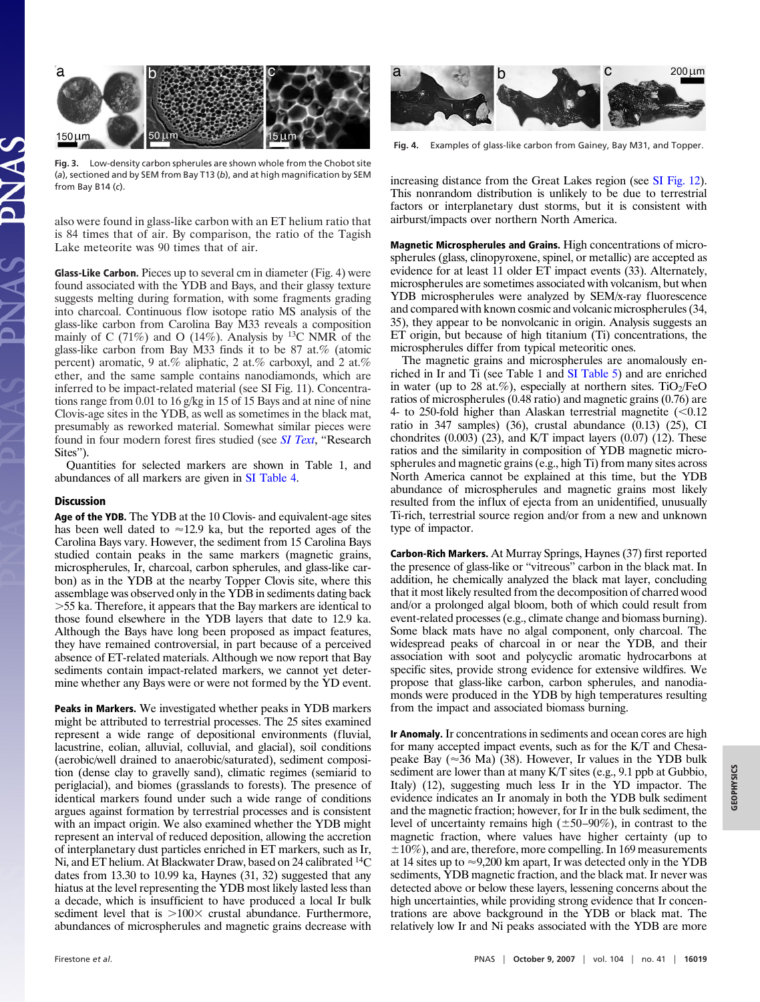

**Fig. 3.** Low-density carbon spherules are shown whole from the Chobot site (*a*), sectioned and by SEM from Bay T13 (*b*), and at high magnification by SEM from Bay B14 (*c*).

also were found in glass-like carbon with an ET helium ratio that is 84 times that of air. By comparison, the ratio of the Tagish Lake meteorite was 90 times that of air.

**Glass-Like Carbon.** Pieces up to several cm in diameter (Fig. 4) were found associated with the YDB and Bays, and their glassy texture suggests melting during formation, with some fragments grading into charcoal. Continuous flow isotope ratio MS analysis of the glass-like carbon from Carolina Bay M33 reveals a composition mainly of C (71%) and O (14%). Analysis by <sup>13</sup>C NMR of the glass-like carbon from Bay M33 finds it to be 87 at.% (atomic percent) aromatic, 9 at.% aliphatic, 2 at.% carboxyl, and 2 at.% ether, and the same sample contains nanodiamonds, which are inferred to be impact-related material (see SI Fig. 11). Concentrations range from 0.01 to 16 g/kg in 15 of 15 Bays and at nine of nine Clovis-age sites in the YDB, as well as sometimes in the black mat, presumably as reworked material. Somewhat similar pieces were found in four modern forest fires studied (see *[SI Text](http://www.pnas.org/cgi/content/full/0706977104/DC1)*, ''Research Sites").

Quantities for selected markers are shown in Table 1, and abundances of all markers are given in [SI Table 4.](http://www.pnas.org/cgi/content/full/0706977104/DC1)

# **Discussion**

**Age of the YDB.** The YDB at the 10 Clovis- and equivalent-age sites has been well dated to  $\approx$ 12.9 ka, but the reported ages of the Carolina Bays vary. However, the sediment from 15 Carolina Bays studied contain peaks in the same markers (magnetic grains, microspherules, Ir, charcoal, carbon spherules, and glass-like carbon) as in the YDB at the nearby Topper Clovis site, where this assemblage was observed only in the YDB in sediments dating back -55 ka. Therefore, it appears that the Bay markers are identical to those found elsewhere in the YDB layers that date to 12.9 ka. Although the Bays have long been proposed as impact features, they have remained controversial, in part because of a perceived absence of ET-related materials. Although we now report that Bay sediments contain impact-related markers, we cannot yet determine whether any Bays were or were not formed by the YD event.

**Peaks in Markers.** We investigated whether peaks in YDB markers might be attributed to terrestrial processes. The 25 sites examined represent a wide range of depositional environments (fluvial, lacustrine, eolian, alluvial, colluvial, and glacial), soil conditions (aerobic/well drained to anaerobic/saturated), sediment composition (dense clay to gravelly sand), climatic regimes (semiarid to periglacial), and biomes (grasslands to forests). The presence of identical markers found under such a wide range of conditions argues against formation by terrestrial processes and is consistent with an impact origin. We also examined whether the YDB might represent an interval of reduced deposition, allowing the accretion of interplanetary dust particles enriched in ET markers, such as Ir, Ni, and ET helium. At Blackwater Draw, based on 24 calibrated 14C dates from 13.30 to 10.99 ka, Haynes (31, 32) suggested that any hiatus at the level representing the YDB most likely lasted less than a decade, which is insufficient to have produced a local Ir bulk sediment level that is  $>100\times$  crustal abundance. Furthermore, abundances of microspherules and magnetic grains decrease with



**Fig. 4.** Examples of glass-like carbon from Gainey, Bay M31, and Topper.

increasing distance from the Great Lakes region (see [SI Fig. 12\)](http://www.pnas.org/cgi/content/full/0706977104/DC1). This nonrandom distribution is unlikely to be due to terrestrial factors or interplanetary dust storms, but it is consistent with airburst/impacts over northern North America.

**Magnetic Microspherules and Grains.** High concentrations of microspherules (glass, clinopyroxene, spinel, or metallic) are accepted as evidence for at least 11 older ET impact events (33). Alternately, microspherules are sometimes associated with volcanism, but when YDB microspherules were analyzed by SEM/x-ray fluorescence and compared with known cosmic and volcanic microspherules (34, 35), they appear to be nonvolcanic in origin. Analysis suggests an ET origin, but because of high titanium (Ti) concentrations, the microspherules differ from typical meteoritic ones.

The magnetic grains and microspherules are anomalously enriched in Ir and Ti (see Table 1 and [SI Table 5\)](http://www.pnas.org/cgi/content/full/0706977104/DC1) and are enriched in water (up to 28 at.%), especially at northern sites.  $TiO<sub>2</sub>/FeO$ ratios of microspherules (0.48 ratio) and magnetic grains (0.76) are 4- to 250-fold higher than Alaskan terrestrial magnetite  $\approx 0.12$ ratio in 347 samples) (36), crustal abundance  $(0.13)$   $(25)$ , CI chondrites  $(0.003)$   $(23)$ , and K/T impact layers  $(0.07)$   $(12)$ . These ratios and the similarity in composition of YDB magnetic microspherules and magnetic grains (e.g., high Ti) from many sites across North America cannot be explained at this time, but the YDB abundance of microspherules and magnetic grains most likely resulted from the influx of ejecta from an unidentified, unusually Ti-rich, terrestrial source region and/or from a new and unknown type of impactor.

**Carbon-Rich Markers.** At Murray Springs, Haynes (37) first reported the presence of glass-like or ''vitreous'' carbon in the black mat. In addition, he chemically analyzed the black mat layer, concluding that it most likely resulted from the decomposition of charred wood and/or a prolonged algal bloom, both of which could result from event-related processes (e.g., climate change and biomass burning). Some black mats have no algal component, only charcoal. The widespread peaks of charcoal in or near the YDB, and their association with soot and polycyclic aromatic hydrocarbons at specific sites, provide strong evidence for extensive wildfires. We propose that glass-like carbon, carbon spherules, and nanodiamonds were produced in the YDB by high temperatures resulting from the impact and associated biomass burning.

**Ir Anomaly.** Ir concentrations in sediments and ocean cores are high for many accepted impact events, such as for the K/T and Chesapeake Bay ( $\approx$ 36 Ma) (38). However, Ir values in the YDB bulk sediment are lower than at many K/T sites (e.g., 9.1 ppb at Gubbio, Italy) (12), suggesting much less Ir in the YD impactor. The evidence indicates an Ir anomaly in both the YDB bulk sediment and the magnetic fraction; however, for Ir in the bulk sediment, the level of uncertainty remains high  $(\pm 50 - 90\%)$ , in contrast to the magnetic fraction, where values have higher certainty (up to  $\pm 10\%$ ), and are, therefore, more compelling. In 169 measurements at 14 sites up to  $\approx$  9,200 km apart, Ir was detected only in the YDB sediments, YDB magnetic fraction, and the black mat. Ir never was detected above or below these layers, lessening concerns about the high uncertainties, while providing strong evidence that Ir concentrations are above background in the YDB or black mat. The relatively low Ir and Ni peaks associated with the YDB are more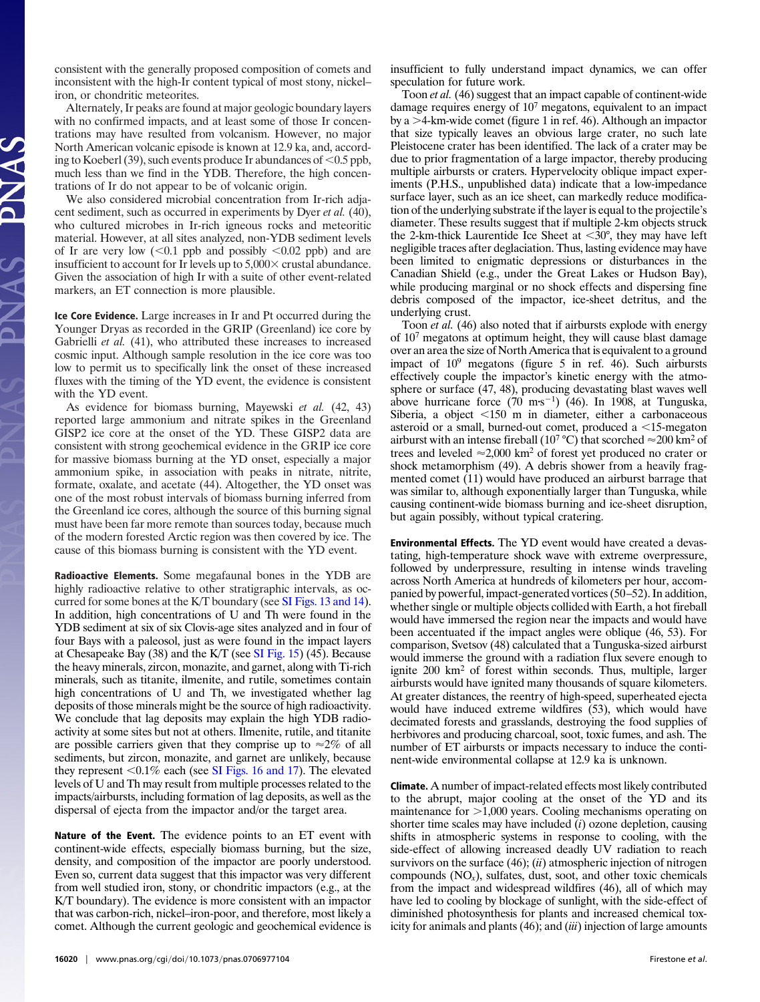consistent with the generally proposed composition of comets and inconsistent with the high-Ir content typical of most stony, nickel– iron, or chondritic meteorites.

Alternately, Ir peaks are found at major geologic boundary layers with no confirmed impacts, and at least some of those Ir concentrations may have resulted from volcanism. However, no major North American volcanic episode is known at 12.9 ka, and, according to Koeberl (39), such events produce Ir abundances of  $\leq 0.5$  ppb, much less than we find in the YDB. Therefore, the high concentrations of Ir do not appear to be of volcanic origin.

We also considered microbial concentration from Ir-rich adjacent sediment, such as occurred in experiments by Dyer *et al.* (40), who cultured microbes in Ir-rich igneous rocks and meteoritic material. However, at all sites analyzed, non-YDB sediment levels of Ir are very low  $(<0.1$  ppb and possibly  $< 0.02$  ppb) and are insufficient to account for Ir levels up to  $5,000 \times$  crustal abundance. Given the association of high Ir with a suite of other event-related markers, an ET connection is more plausible.

**Ice Core Evidence.** Large increases in Ir and Pt occurred during the Younger Dryas as recorded in the GRIP (Greenland) ice core by Gabrielli *et al.* (41), who attributed these increases to increased cosmic input. Although sample resolution in the ice core was too low to permit us to specifically link the onset of these increased fluxes with the timing of the YD event, the evidence is consistent with the YD event.

As evidence for biomass burning, Mayewski *et al.* (42, 43) reported large ammonium and nitrate spikes in the Greenland GISP2 ice core at the onset of the YD. These GISP2 data are consistent with strong geochemical evidence in the GRIP ice core for massive biomass burning at the YD onset, especially a major ammonium spike, in association with peaks in nitrate, nitrite, formate, oxalate, and acetate (44). Altogether, the YD onset was one of the most robust intervals of biomass burning inferred from the Greenland ice cores, although the source of this burning signal must have been far more remote than sources today, because much of the modern forested Arctic region was then covered by ice. The cause of this biomass burning is consistent with the YD event.

**Radioactive Elements.** Some megafaunal bones in the YDB are highly radioactive relative to other stratigraphic intervals, as occurred for some bones at the K/T boundary (see [SI Figs. 13 and 14\)](http://www.pnas.org/cgi/content/full/0706977104/DC1). In addition, high concentrations of U and Th were found in the YDB sediment at six of six Clovis-age sites analyzed and in four of four Bays with a paleosol, just as were found in the impact layers at Chesapeake Bay (38) and the K/T (see [SI Fig. 15\)](http://www.pnas.org/cgi/content/full/0706977104/DC1) (45). Because the heavy minerals, zircon, monazite, and garnet, along with Ti-rich minerals, such as titanite, ilmenite, and rutile, sometimes contain high concentrations of U and Th, we investigated whether lag deposits of those minerals might be the source of high radioactivity. We conclude that lag deposits may explain the high YDB radioactivity at some sites but not at others. Ilmenite, rutile, and titanite are possible carriers given that they comprise up to  $\approx 2\%$  of all sediments, but zircon, monazite, and garnet are unlikely, because they represent  $\leq 0.1\%$  each (see [SI Figs. 16 and 17\)](http://www.pnas.org/cgi/content/full/0706977104/DC1). The elevated levels of U and Th may result from multiple processes related to the impacts/airbursts, including formation of lag deposits, as well as the dispersal of ejecta from the impactor and/or the target area.

**Nature of the Event.** The evidence points to an ET event with continent-wide effects, especially biomass burning, but the size, density, and composition of the impactor are poorly understood. Even so, current data suggest that this impactor was very different from well studied iron, stony, or chondritic impactors (e.g., at the K/T boundary). The evidence is more consistent with an impactor that was carbon-rich, nickel–iron-poor, and therefore, most likely a comet. Although the current geologic and geochemical evidence is

insufficient to fully understand impact dynamics, we can offer speculation for future work.

Toon *et al.* (46) suggest that an impact capable of continent-wide damage requires energy of 107 megatons, equivalent to an impact by a -4-km-wide comet (figure 1 in ref. 46). Although an impactor that size typically leaves an obvious large crater, no such late Pleistocene crater has been identified. The lack of a crater may be due to prior fragmentation of a large impactor, thereby producing multiple airbursts or craters. Hypervelocity oblique impact experiments (P.H.S., unpublished data) indicate that a low-impedance surface layer, such as an ice sheet, can markedly reduce modification of the underlying substrate if the layer is equal to the projectile's diameter. These results suggest that if multiple 2-km objects struck the 2-km-thick Laurentide Ice Sheet at  $\langle 30^\circ, \text{ they may have left} \rangle$ negligible traces after deglaciation. Thus, lasting evidence may have been limited to enigmatic depressions or disturbances in the Canadian Shield (e.g., under the Great Lakes or Hudson Bay), while producing marginal or no shock effects and dispersing fine debris composed of the impactor, ice-sheet detritus, and the underlying crust.

Toon *et al.* (46) also noted that if airbursts explode with energy of 107 megatons at optimum height, they will cause blast damage over an area the size of North America that is equivalent to a ground impact of  $10^9$  megatons (figure 5 in ref. 46). Such airbursts effectively couple the impactor's kinetic energy with the atmosphere or surface (47, 48), producing devastating blast waves well above hurricane force  $(70 \text{ m}\cdot\text{s}^{-1})$  (46). In 1908, at Tunguska, Siberia, a object  $\leq 150$  m in diameter, either a carbonaceous asteroid or a small, burned-out comet, produced a  $\leq 15$ -megaton airburst with an intense fireball (10<sup>7</sup> °C) that scorched  $\approx$  200 km<sup>2</sup> of trees and leveled  $\approx 2,000$  km<sup>2</sup> of forest yet produced no crater or shock metamorphism (49). A debris shower from a heavily fragmented comet (11) would have produced an airburst barrage that was similar to, although exponentially larger than Tunguska, while causing continent-wide biomass burning and ice-sheet disruption, but again possibly, without typical cratering.

**Environmental Effects.** The YD event would have created a devastating, high-temperature shock wave with extreme overpressure, followed by underpressure, resulting in intense winds traveling across North America at hundreds of kilometers per hour, accompanied by powerful, impact-generated vortices (50–52). In addition, whether single or multiple objects collided with Earth, a hot fireball would have immersed the region near the impacts and would have been accentuated if the impact angles were oblique (46, 53). For comparison, Svetsov (48) calculated that a Tunguska-sized airburst would immerse the ground with a radiation flux severe enough to ignite 200 km2 of forest within seconds. Thus, multiple, larger airbursts would have ignited many thousands of square kilometers. At greater distances, the reentry of high-speed, superheated ejecta would have induced extreme wildfires (53), which would have decimated forests and grasslands, destroying the food supplies of herbivores and producing charcoal, soot, toxic fumes, and ash. The number of ET airbursts or impacts necessary to induce the continent-wide environmental collapse at 12.9 ka is unknown.

**Climate.** A number of impact-related effects most likely contributed to the abrupt, major cooling at the onset of the YD and its maintenance for  $>1,000$  years. Cooling mechanisms operating on shorter time scales may have included (*i*) ozone depletion, causing shifts in atmospheric systems in response to cooling, with the side-effect of allowing increased deadly UV radiation to reach survivors on the surface (46); (*ii*) atmospheric injection of nitrogen compounds  $(NO<sub>x</sub>)$ , sulfates, dust, soot, and other toxic chemicals from the impact and widespread wildfires (46), all of which may have led to cooling by blockage of sunlight, with the side-effect of diminished photosynthesis for plants and increased chemical toxicity for animals and plants (46); and (*iii*) injection of large amounts